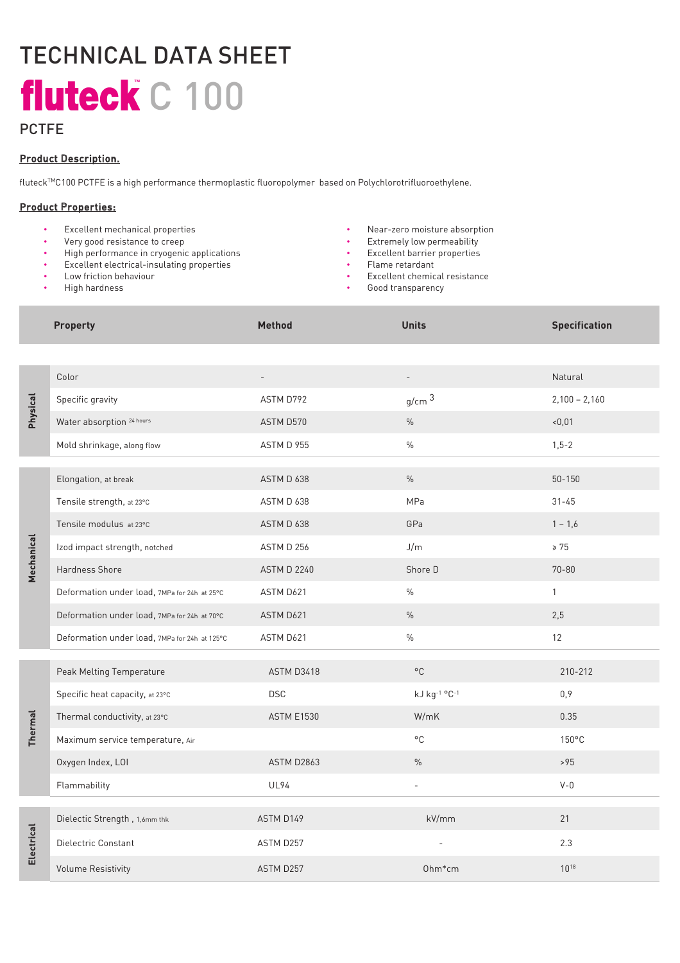# TECHNICAL DATA SHEET fluteck C 100

### **PCTFE**

#### Product Description.

fluteckTMC100 PCTFE is a high performance thermoplastic fluoropolymer based on Polychlorotrifluoroethylene.

#### Product Properties:

- Excellent mechanical properties Near-zero moisture absorption
- Very good resistance to creep Extremely low permeability
- High performance in cryogenic applications Excellent barrier properties
- Excellent electrical-insulating properties
- Low friction behaviour
- High hardness
- 
- 
- 
- Flame retardant
- Excellent chemical resistance
- Good transparency

|                 | <b>Property</b>                               | Method                   | <b>Units</b>      | <b>Specification</b> |
|-----------------|-----------------------------------------------|--------------------------|-------------------|----------------------|
|                 |                                               |                          |                   |                      |
| <b>Physical</b> | Color                                         | $\overline{\phantom{m}}$ |                   | Natural              |
|                 | Specific gravity                              | ASTM D792                | g/cm <sup>3</sup> | $2,100 - 2,160$      |
|                 | Water absorption 24 hours                     | ASTM D570                | $\%$              | < 0,01               |
|                 | Mold shrinkage, along flow                    | ASTM D 955               | $\%$              | $1, 5 - 2$           |
| Mechanical      | Elongation, at break                          | ASTM D 638               | $\%$              | $50 - 150$           |
|                 | Tensile strength, at 23°C                     | ASTM D 638               | MPa               | $31 - 45$            |
|                 | Tensile modulus at 23°C                       | ASTM D 638               | GPa               | $1 - 1,6$            |
|                 | Izod impact strength, notched                 | ASTM D 256               | J/m               | $\geq 75$            |
|                 | <b>Hardness Shore</b>                         | <b>ASTM D 2240</b>       | Shore D           | $70 - 80$            |
|                 | Deformation under load, 7MPa for 24h at 25°C  | ASTM D621                | $\%$              | $\mathbf{1}$         |
|                 | Deformation under load, 7MPa for 24h at 70°C  | ASTM D621                | $\%$              | 2,5                  |
|                 | Deformation under load, 7MPa for 24h at 125°C | ASTM D621                | $\frac{0}{0}$     | 12                   |
|                 |                                               |                          |                   |                      |
| Thermal         | Peak Melting Temperature                      | ASTM D3418               | $^{\circ}$ C      | 210-212              |
|                 | Specific heat capacity, at 23°C               | <b>DSC</b>               | kJ kg-1 °C-1      | 0,9                  |
|                 | Thermal conductivity, at 23°C                 | <b>ASTM E1530</b>        | W/mK              | 0.35                 |
|                 | Maximum service temperature, Air              |                          | $^{\circ}$ C      | 150°C                |
|                 | Oxygen Index, LOI                             | <b>ASTM D2863</b>        | $\%$              | >95                  |
|                 | Flammability                                  | <b>UL94</b>              | $\overline{a}$    | $V - 0$              |
| Electrical      | Dielectic Strength, 1,6mm thk                 | ASTM D149                | kV/mm             | 21                   |
|                 | Dielectric Constant                           |                          |                   | 2.3                  |
|                 |                                               | ASTM D257                |                   |                      |
|                 | <b>Volume Resistivity</b>                     | ASTM D257                | 0hm*cm            | $10^{18}$            |